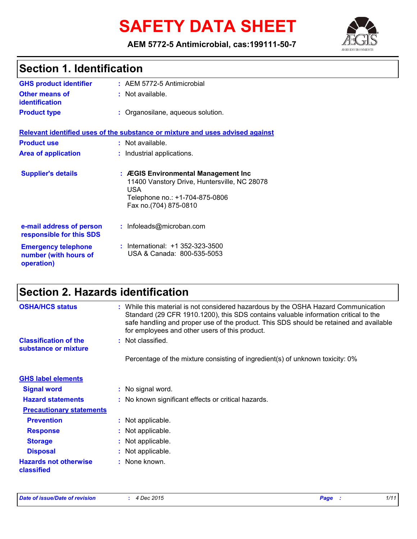# **SAFETY DATA SHEET**

**AEM 5772-5 Antimicrobial, cas:199111-50-7**



| <b>Section 1. Identification</b>                                  |                                                                                                                                                              |  |
|-------------------------------------------------------------------|--------------------------------------------------------------------------------------------------------------------------------------------------------------|--|
| <b>GHS product identifier</b>                                     | : AEM 5772-5 Antimicrobial                                                                                                                                   |  |
| <b>Other means of</b><br><b>identification</b>                    | : Not available.                                                                                                                                             |  |
| <b>Product type</b>                                               | : Organosilane, aqueous solution.                                                                                                                            |  |
|                                                                   | Relevant identified uses of the substance or mixture and uses advised against                                                                                |  |
| <b>Product use</b>                                                | : Not available.                                                                                                                                             |  |
| <b>Area of application</b>                                        | : Industrial applications.                                                                                                                                   |  |
| <b>Supplier's details</b>                                         | : ÆGIS Environmental Management Inc<br>11400 Vanstory Drive, Huntersville, NC 28078<br><b>USA</b><br>Telephone no.: +1-704-875-0806<br>Fax no.(704) 875-0810 |  |
| e-mail address of person<br>responsible for this SDS              | : Infoleads@microban.com                                                                                                                                     |  |
| <b>Emergency telephone</b><br>number (with hours of<br>operation) | International: +1 352-323-3500<br>USA & Canada: 800-535-5053                                                                                                 |  |

## **Section 2. Hazards identification**

| <b>OSHA/HCS status</b><br><b>Classification of the</b> | : While this material is not considered hazardous by the OSHA Hazard Communication<br>Standard (29 CFR 1910.1200), this SDS contains valuable information critical to the<br>safe handling and proper use of the product. This SDS should be retained and available<br>for employees and other users of this product.<br>: Not classified. |
|--------------------------------------------------------|--------------------------------------------------------------------------------------------------------------------------------------------------------------------------------------------------------------------------------------------------------------------------------------------------------------------------------------------|
| substance or mixture                                   |                                                                                                                                                                                                                                                                                                                                            |
|                                                        | Percentage of the mixture consisting of ingredient(s) of unknown toxicity: 0%                                                                                                                                                                                                                                                              |
| <b>GHS label elements</b>                              |                                                                                                                                                                                                                                                                                                                                            |
| <b>Signal word</b>                                     | : No signal word.                                                                                                                                                                                                                                                                                                                          |
| <b>Hazard statements</b>                               | : No known significant effects or critical hazards.                                                                                                                                                                                                                                                                                        |
| <b>Precautionary statements</b>                        |                                                                                                                                                                                                                                                                                                                                            |
| <b>Prevention</b>                                      | : Not applicable.                                                                                                                                                                                                                                                                                                                          |
| <b>Response</b>                                        | : Not applicable.                                                                                                                                                                                                                                                                                                                          |
| <b>Storage</b>                                         | : Not applicable.                                                                                                                                                                                                                                                                                                                          |
| <b>Disposal</b>                                        | : Not applicable.                                                                                                                                                                                                                                                                                                                          |
| <b>Hazards not otherwise</b><br>classified             | : None known.                                                                                                                                                                                                                                                                                                                              |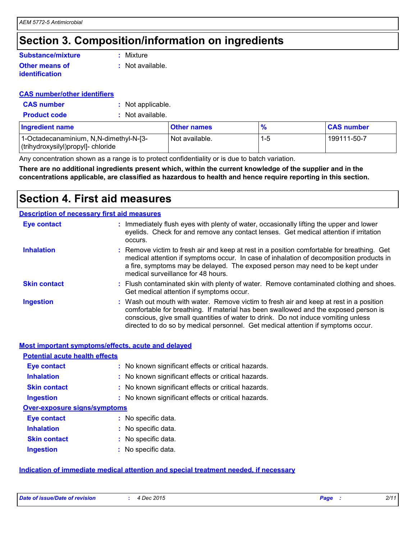### **Section 3. Composition/information on ingredients**

#### **Other means of identification Substance/mixture**

**:** Mixture

**:** Not available.

#### **CAS number/other identifiers**

- **CAS number :** Not applicable.
- **Product code :** Not available.

| <b>Ingredient name</b>                                                        | <b>Other names</b> | $\frac{9}{6}$ | <b>CAS number</b> |
|-------------------------------------------------------------------------------|--------------------|---------------|-------------------|
| 1-Octadecanaminium, N, N-dimethyl-N-[3-<br>(trihydroxysilyl)propyl]- chloride | Not available.     |               | 199111-50-7       |

Any concentration shown as a range is to protect confidentiality or is due to batch variation.

**There are no additional ingredients present which, within the current knowledge of the supplier and in the concentrations applicable, are classified as hazardous to health and hence require reporting in this section.**

### **Section 4. First aid measures**

|                     | <b>Description of necessary first aid measures</b>                                                                                                                                                                                                                                                                                                     |
|---------------------|--------------------------------------------------------------------------------------------------------------------------------------------------------------------------------------------------------------------------------------------------------------------------------------------------------------------------------------------------------|
| <b>Eye contact</b>  | : Immediately flush eyes with plenty of water, occasionally lifting the upper and lower<br>eyelids. Check for and remove any contact lenses. Get medical attention if irritation<br>occurs.                                                                                                                                                            |
| <b>Inhalation</b>   | : Remove victim to fresh air and keep at rest in a position comfortable for breathing. Get<br>medical attention if symptoms occur. In case of inhalation of decomposition products in<br>a fire, symptoms may be delayed. The exposed person may need to be kept under<br>medical surveillance for 48 hours.                                           |
| <b>Skin contact</b> | : Flush contaminated skin with plenty of water. Remove contaminated clothing and shoes.<br>Get medical attention if symptoms occur.                                                                                                                                                                                                                    |
| <b>Ingestion</b>    | : Wash out mouth with water. Remove victim to fresh air and keep at rest in a position<br>comfortable for breathing. If material has been swallowed and the exposed person is<br>conscious, give small quantities of water to drink. Do not induce vomiting unless<br>directed to do so by medical personnel. Get medical attention if symptoms occur. |

|                                       | <b>Most important symptoms/effects, acute and delayed</b> |
|---------------------------------------|-----------------------------------------------------------|
| <b>Potential acute health effects</b> |                                                           |
| <b>Eye contact</b>                    | : No known significant effects or critical hazards.       |
| <b>Inhalation</b>                     | : No known significant effects or critical hazards.       |
| <b>Skin contact</b>                   | : No known significant effects or critical hazards.       |
| <b>Ingestion</b>                      | : No known significant effects or critical hazards.       |
| <b>Over-exposure signs/symptoms</b>   |                                                           |
| <b>Eye contact</b>                    | : No specific data.                                       |
| <b>Inhalation</b>                     | : No specific data.                                       |
| <b>Skin contact</b>                   | : No specific data.                                       |
| <b>Ingestion</b>                      | : No specific data.                                       |

#### **Indication of immediate medical attention and special treatment needed, if necessary**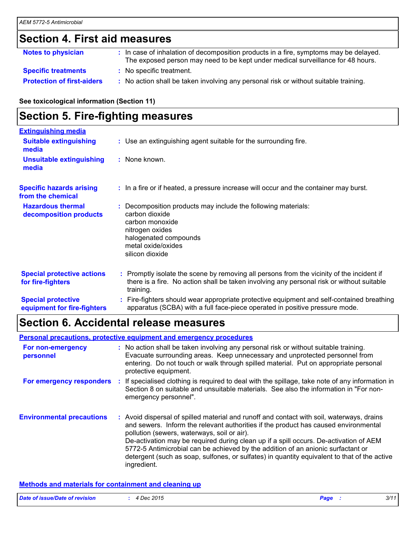### **Section 4. First aid measures**

| <b>Notes to physician</b>         | : In case of inhalation of decomposition products in a fire, symptoms may be delayed.<br>The exposed person may need to be kept under medical surveillance for 48 hours. |
|-----------------------------------|--------------------------------------------------------------------------------------------------------------------------------------------------------------------------|
| <b>Specific treatments</b>        | : No specific treatment.                                                                                                                                                 |
| <b>Protection of first-aiders</b> | : No action shall be taken involving any personal risk or without suitable training.                                                                                     |

**See toxicological information (Section 11)**

### **Section 5. Fire-fighting measures**

| <b>Extinguishing media</b>                               |                                                                                                                                                                                                     |
|----------------------------------------------------------|-----------------------------------------------------------------------------------------------------------------------------------------------------------------------------------------------------|
| <b>Suitable extinguishing</b><br>media                   | : Use an extinguishing agent suitable for the surrounding fire.                                                                                                                                     |
| <b>Unsuitable extinguishing</b><br>media                 | : None known.                                                                                                                                                                                       |
| <b>Specific hazards arising</b><br>from the chemical     | : In a fire or if heated, a pressure increase will occur and the container may burst.                                                                                                               |
| <b>Hazardous thermal</b><br>decomposition products       | Decomposition products may include the following materials:<br>carbon dioxide<br>carbon monoxide<br>nitrogen oxides<br>halogenated compounds<br>metal oxide/oxides<br>silicon dioxide               |
| <b>Special protective actions</b><br>for fire-fighters   | : Promptly isolate the scene by removing all persons from the vicinity of the incident if<br>there is a fire. No action shall be taken involving any personal risk or without suitable<br>training. |
| <b>Special protective</b><br>equipment for fire-fighters | : Fire-fighters should wear appropriate protective equipment and self-contained breathing<br>apparatus (SCBA) with a full face-piece operated in positive pressure mode.                            |

### **Section 6. Accidental release measures**

|                                  | <b>Personal precautions, protective equipment and emergency procedures</b>                                                                                                                                                                                                                                                                                                                                                                                                                                                  |
|----------------------------------|-----------------------------------------------------------------------------------------------------------------------------------------------------------------------------------------------------------------------------------------------------------------------------------------------------------------------------------------------------------------------------------------------------------------------------------------------------------------------------------------------------------------------------|
| For non-emergency<br>personnel   | : No action shall be taken involving any personal risk or without suitable training.<br>Evacuate surrounding areas. Keep unnecessary and unprotected personnel from<br>entering. Do not touch or walk through spilled material. Put on appropriate personal<br>protective equipment.                                                                                                                                                                                                                                        |
| For emergency responders         | : If specialised clothing is required to deal with the spillage, take note of any information in<br>Section 8 on suitable and unsuitable materials. See also the information in "For non-<br>emergency personnel".                                                                                                                                                                                                                                                                                                          |
| <b>Environmental precautions</b> | : Avoid dispersal of spilled material and runoff and contact with soil, waterways, drains<br>and sewers. Inform the relevant authorities if the product has caused environmental<br>pollution (sewers, waterways, soil or air).<br>De-activation may be required during clean up if a spill occurs. De-activation of AEM<br>5772-5 Antimicrobial can be achieved by the addition of an anionic surfactant or<br>detergent (such as soap, sulfones, or sulfates) in quantity equivalent to that of the active<br>ingredient. |

#### **Methods and materials for containment and cleaning up**

| Date of issue/Date of revision | 4 Dec 2015 | Page | 3/11 |
|--------------------------------|------------|------|------|
|                                |            |      |      |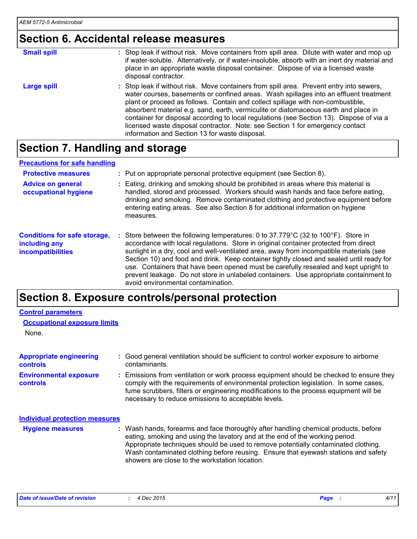### **Section 6. Accidental release measures**

| <b>Small spill</b> | : Stop leak if without risk. Move containers from spill area. Dilute with water and mop up<br>if water-soluble. Alternatively, or if water-insoluble, absorb with an inert dry material and<br>place in an appropriate waste disposal container. Dispose of via a licensed waste<br>disposal contractor.                                                                                                                                                                                                                                                                                   |
|--------------------|--------------------------------------------------------------------------------------------------------------------------------------------------------------------------------------------------------------------------------------------------------------------------------------------------------------------------------------------------------------------------------------------------------------------------------------------------------------------------------------------------------------------------------------------------------------------------------------------|
| <b>Large spill</b> | : Stop leak if without risk. Move containers from spill area. Prevent entry into sewers,<br>water courses, basements or confined areas. Wash spillages into an effluent treatment<br>plant or proceed as follows. Contain and collect spillage with non-combustible,<br>absorbent material e.g. sand, earth, vermiculite or diatomaceous earth and place in<br>container for disposal according to local regulations (see Section 13). Dispose of via a<br>licensed waste disposal contractor. Note: see Section 1 for emergency contact<br>information and Section 13 for waste disposal. |

### **Section 7. Handling and storage**

#### **Precautions for safe handling**

| <b>Protective measures</b><br><b>Advice on general</b><br>occupational hygiene | : Put on appropriate personal protective equipment (see Section 8).<br>Eating, drinking and smoking should be prohibited in areas where this material is<br>handled, stored and processed. Workers should wash hands and face before eating,<br>drinking and smoking. Remove contaminated clothing and protective equipment before<br>entering eating areas. See also Section 8 for additional information on hygiene<br>measures.                                                                                                                                                    |
|--------------------------------------------------------------------------------|---------------------------------------------------------------------------------------------------------------------------------------------------------------------------------------------------------------------------------------------------------------------------------------------------------------------------------------------------------------------------------------------------------------------------------------------------------------------------------------------------------------------------------------------------------------------------------------|
| <b>Conditions for safe storage,</b><br>including any<br>incompatibilities      | Store between the following temperatures: 0 to 37.779°C (32 to 100°F). Store in<br>accordance with local regulations. Store in original container protected from direct<br>sunlight in a dry, cool and well-ventilated area, away from incompatible materials (see<br>Section 10) and food and drink. Keep container tightly closed and sealed until ready for<br>use. Containers that have been opened must be carefully resealed and kept upright to<br>prevent leakage. Do not store in unlabeled containers. Use appropriate containment to<br>avoid environmental contamination. |

### **Section 8. Exposure controls/personal protection**

| <b>Control parameters</b>                         |                                                                                                                                                                                                                                                                                                                                                                                                   |
|---------------------------------------------------|---------------------------------------------------------------------------------------------------------------------------------------------------------------------------------------------------------------------------------------------------------------------------------------------------------------------------------------------------------------------------------------------------|
| <b>Occupational exposure limits</b>               |                                                                                                                                                                                                                                                                                                                                                                                                   |
| None.                                             |                                                                                                                                                                                                                                                                                                                                                                                                   |
| <b>Appropriate engineering</b><br><b>controls</b> | : Good general ventilation should be sufficient to control worker exposure to airborne<br>contaminants.                                                                                                                                                                                                                                                                                           |
| <b>Environmental exposure</b><br><b>controls</b>  | : Emissions from ventilation or work process equipment should be checked to ensure they<br>comply with the requirements of environmental protection legislation. In some cases,<br>fume scrubbers, filters or engineering modifications to the process equipment will be<br>necessary to reduce emissions to acceptable levels.                                                                   |
| <b>Individual protection measures</b>             |                                                                                                                                                                                                                                                                                                                                                                                                   |
| <b>Hygiene measures</b>                           | : Wash hands, forearms and face thoroughly after handling chemical products, before<br>eating, smoking and using the lavatory and at the end of the working period.<br>Appropriate techniques should be used to remove potentially contaminated clothing.<br>Wash contaminated clothing before reusing. Ensure that eyewash stations and safety<br>showers are close to the workstation location. |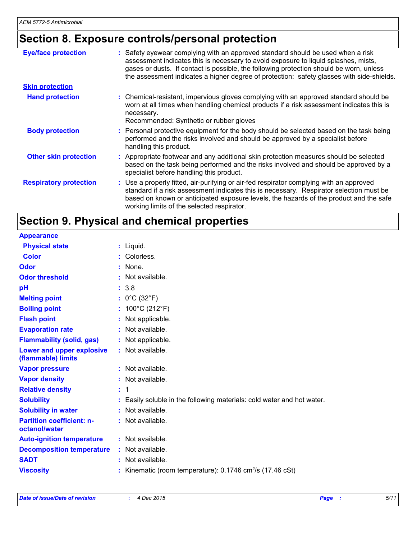### **Section 8. Exposure controls/personal protection**

| <b>Eye/face protection</b>    | : Safety eyewear complying with an approved standard should be used when a risk<br>assessment indicates this is necessary to avoid exposure to liquid splashes, mists,<br>gases or dusts. If contact is possible, the following protection should be worn, unless<br>the assessment indicates a higher degree of protection: safety glasses with side-shields. |
|-------------------------------|----------------------------------------------------------------------------------------------------------------------------------------------------------------------------------------------------------------------------------------------------------------------------------------------------------------------------------------------------------------|
| <b>Skin protection</b>        |                                                                                                                                                                                                                                                                                                                                                                |
| <b>Hand protection</b>        | : Chemical-resistant, impervious gloves complying with an approved standard should be<br>worn at all times when handling chemical products if a risk assessment indicates this is<br>necessary.<br>Recommended: Synthetic or rubber gloves                                                                                                                     |
| <b>Body protection</b>        | : Personal protective equipment for the body should be selected based on the task being<br>performed and the risks involved and should be approved by a specialist before<br>handling this product.                                                                                                                                                            |
| <b>Other skin protection</b>  | : Appropriate footwear and any additional skin protection measures should be selected<br>based on the task being performed and the risks involved and should be approved by a<br>specialist before handling this product.                                                                                                                                      |
| <b>Respiratory protection</b> | : Use a properly fitted, air-purifying or air-fed respirator complying with an approved<br>standard if a risk assessment indicates this is necessary. Respirator selection must be<br>based on known or anticipated exposure levels, the hazards of the product and the safe<br>working limits of the selected respirator.                                     |

### **Section 9. Physical and chemical properties**

| <b>Appearance</b>                                 |                                                                         |
|---------------------------------------------------|-------------------------------------------------------------------------|
| <b>Physical state</b>                             | $:$ Liquid.                                                             |
| <b>Color</b>                                      | : Colorless.                                                            |
| <b>Odor</b>                                       | : None.                                                                 |
| <b>Odor threshold</b>                             | : Not available.                                                        |
| pH                                                | : 3.8                                                                   |
| <b>Melting point</b>                              | : $0^{\circ}$ C (32 $^{\circ}$ F)                                       |
| <b>Boiling point</b>                              | : $100^{\circ}$ C (212 $^{\circ}$ F)                                    |
| <b>Flash point</b>                                | : Not applicable.                                                       |
| <b>Evaporation rate</b>                           | : Not available.                                                        |
| <b>Flammability (solid, gas)</b>                  | : Not applicable.                                                       |
| Lower and upper explosive<br>(flammable) limits   | : Not available.                                                        |
| <b>Vapor pressure</b>                             | : Not available.                                                        |
| <b>Vapor density</b>                              | : Not available.                                                        |
| <b>Relative density</b>                           | : 1                                                                     |
| <b>Solubility</b>                                 | : Easily soluble in the following materials: cold water and hot water.  |
| <b>Solubility in water</b>                        | : Not available.                                                        |
| <b>Partition coefficient: n-</b><br>octanol/water | : Not available.                                                        |
| <b>Auto-ignition temperature</b>                  | : Not available.                                                        |
| <b>Decomposition temperature</b>                  | : Not available.                                                        |
| <b>SADT</b>                                       | $:$ Not available.                                                      |
| <b>Viscosity</b>                                  | : Kinematic (room temperature): $0.1746$ cm <sup>2</sup> /s (17.46 cSt) |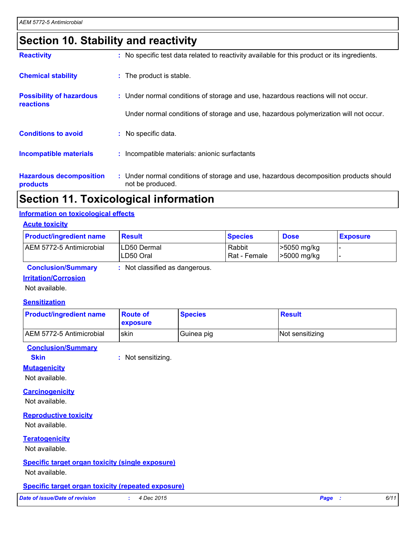### **Section 10. Stability and reactivity**

| <b>Reactivity</b>                            | : No specific test data related to reactivity available for this product or its ingredients.              |
|----------------------------------------------|-----------------------------------------------------------------------------------------------------------|
| <b>Chemical stability</b>                    | : The product is stable.                                                                                  |
| <b>Possibility of hazardous</b><br>reactions | : Under normal conditions of storage and use, hazardous reactions will not occur.                         |
|                                              | Under normal conditions of storage and use, hazardous polymerization will not occur.                      |
| <b>Conditions to avoid</b>                   | : No specific data.                                                                                       |
| <b>Incompatible materials</b>                | : Incompatible materials: anionic surfactants                                                             |
| <b>Hazardous decomposition</b><br>products   | : Under normal conditions of storage and use, hazardous decomposition products should<br>not be produced. |

### **Section 11. Toxicological information**

#### **Information on toxicological effects**

|  | <b>Acute toxicitv</b> |  |
|--|-----------------------|--|
|  |                       |  |

| <b>Product/ingredient name</b> | <b>Result</b>            | <b>Species</b>         | <b>Dose</b>                      | <b>Exposure</b> |
|--------------------------------|--------------------------|------------------------|----------------------------------|-----------------|
| AEM 5772-5 Antimicrobial       | LD50 Dermal<br>LD50 Oral | Rabbit<br>Rat - Female | >5050 mg/kg<br>$\geq 5000$ mg/kg |                 |

| <b>Conclusion/Summary</b> |  | : Not classified as dangerous. |  |
|---------------------------|--|--------------------------------|--|
|---------------------------|--|--------------------------------|--|

#### **Irritation/Corrosion**

Not available.

#### **Sensitization**

| <b>Product/ingredient name</b> | <b>Route of</b><br><b>exposure</b> | <b>Species</b> | Result          |
|--------------------------------|------------------------------------|----------------|-----------------|
| AEM 5772-5 Antimicrobial       | skin                               | Guinea pig     | Not sensitizing |

#### **Conclusion/Summary**

**Skin :** Not sensitizing.

#### **Mutagenicity**

Not available.

#### **Carcinogenicity**

Not available.

#### **Reproductive toxicity**

Not available.

#### **Teratogenicity**

Not available.

### **Specific target organ toxicity (single exposure)**

Not available.

#### **Specific target organ toxicity (repeated exposure)**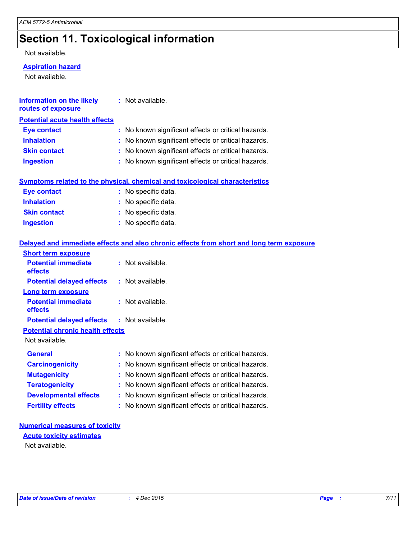### **Section 11. Toxicological information**

#### Not available.

#### **Aspiration hazard**

Not available.

| <b>Information on the likely</b><br>routes of exposure | : Not available.                                                                         |
|--------------------------------------------------------|------------------------------------------------------------------------------------------|
| <b>Potential acute health effects</b>                  |                                                                                          |
| <b>Eye contact</b>                                     | : No known significant effects or critical hazards.                                      |
| <b>Inhalation</b>                                      | : No known significant effects or critical hazards.                                      |
| <b>Skin contact</b>                                    | : No known significant effects or critical hazards.                                      |
| <b>Ingestion</b>                                       | : No known significant effects or critical hazards.                                      |
|                                                        | Symptoms related to the physical, chemical and toxicological characteristics             |
| <b>Eye contact</b>                                     | : No specific data.                                                                      |
| <b>Inhalation</b>                                      | : No specific data.                                                                      |
| <b>Skin contact</b>                                    | : No specific data.                                                                      |
| <b>Ingestion</b>                                       | : No specific data.                                                                      |
|                                                        | Delayed and immediate effects and also chronic effects from short and long term exposure |
| <b>Short term exposure</b>                             |                                                                                          |
| <b>Potential immediate</b><br>effects                  | : Not available.                                                                         |
| <b>Potential delayed effects</b>                       | : Not available.                                                                         |
| <b>Long term exposure</b>                              |                                                                                          |
| <b>Potential immediate</b><br>effects                  | : Not available.                                                                         |
| <b>Potential delayed effects</b>                       | : Not available.                                                                         |
| <b>Potential chronic health effects</b>                |                                                                                          |
| Not available.                                         |                                                                                          |
| <b>General</b>                                         | : No known significant effects or critical hazards.                                      |
| <b>Carcinogenicity</b>                                 | : No known significant effects or critical hazards.                                      |
| <b>Mutagenicity</b>                                    | No known significant effects or critical hazards.                                        |
| <b>Teratogenicity</b>                                  | : No known significant effects or critical hazards.                                      |
| <b>Developmental effects</b>                           | : No known significant effects or critical hazards.                                      |
| <b>Fertility effects</b>                               | : No known significant effects or critical hazards.                                      |

#### **Numerical measures of toxicity**

**Acute toxicity estimates**

Not available.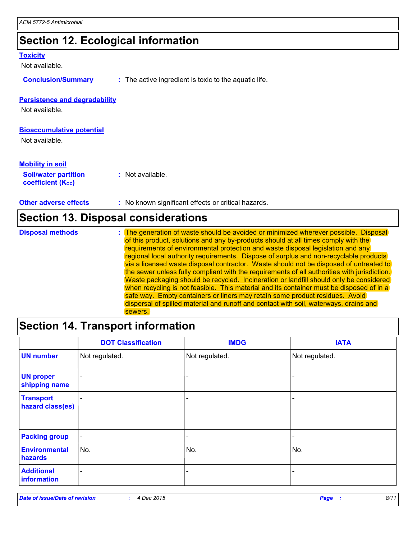### **Section 12. Ecological information**

#### **Toxicity**

Not available.

**Conclusion/Summary :** The active ingredient is toxic to the aquatic life.

#### **Persistence and degradability**

Not available.

#### **Bioaccumulative potential**

Not available.

#### **Mobility in soil**

**Soil/water partition coefficient (KOC)**

**:** Not available.

**Other adverse effects** : No known significant effects or critical hazards.

### **Section 13. Disposal considerations**

| <b>Disposal methods</b> | : The generation of waste should be avoided or minimized wherever possible. Disposal         |
|-------------------------|----------------------------------------------------------------------------------------------|
|                         | of this product, solutions and any by-products should at all times comply with the           |
|                         | requirements of environmental protection and waste disposal legislation and any              |
|                         | regional local authority requirements. Dispose of surplus and non-recyclable products        |
|                         | via a licensed waste disposal contractor. Waste should not be disposed of untreated to       |
|                         | the sewer unless fully compliant with the requirements of all authorities with jurisdiction. |
|                         | Waste packaging should be recycled. Incineration or landfill should only be considered       |
|                         | when recycling is not feasible. This material and its container must be disposed of in a     |
|                         | safe way. Empty containers or liners may retain some product residues. Avoid                 |
|                         | dispersal of spilled material and runoff and contact with soil, waterways, drains and        |
|                         | sewers.                                                                                      |

### **Section 14. Transport information**

|                                      | <b>DOT Classification</b> | <b>IMDG</b>              | <b>IATA</b>              |
|--------------------------------------|---------------------------|--------------------------|--------------------------|
| <b>UN number</b>                     | Not regulated.            | Not regulated.           | Not regulated.           |
| <b>UN proper</b><br>shipping name    | $\blacksquare$            | $\overline{\phantom{0}}$ |                          |
| <b>Transport</b><br>hazard class(es) | $\overline{\phantom{a}}$  | $\overline{\phantom{0}}$ |                          |
| <b>Packing group</b>                 | $\sim$                    | $\overline{\phantom{a}}$ | $\overline{\phantom{0}}$ |
| <b>Environmental</b><br>hazards      | No.                       | No.                      | No.                      |
| <b>Additional</b><br>information     | $\overline{\phantom{0}}$  |                          |                          |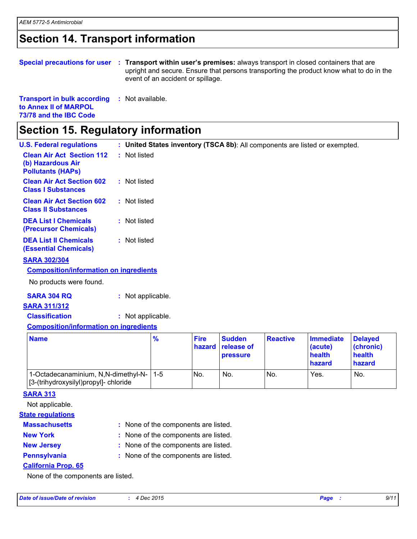### **Section 14. Transport information**

**Special precautions for user Transport within user's premises:** always transport in closed containers that are **:** upright and secure. Ensure that persons transporting the product know what to do in the event of an accident or spillage.

| <b>Transport in bulk according</b> | : Not available. |
|------------------------------------|------------------|
| to Annex II of MARPOL              |                  |
| 73/78 and the IBC Code             |                  |

### **Section 15. Regulatory information**

| <b>U.S. Federal regulations</b>                                                   |                   |         |                       |                                         |                 | : United States inventory (TSCA 8b): All components are listed or exempted. |                                                 |
|-----------------------------------------------------------------------------------|-------------------|---------|-----------------------|-----------------------------------------|-----------------|-----------------------------------------------------------------------------|-------------------------------------------------|
| <b>Clean Air Act Section 112</b><br>(b) Hazardous Air<br><b>Pollutants (HAPs)</b> | : Not listed      |         |                       |                                         |                 |                                                                             |                                                 |
| <b>Clean Air Act Section 602</b><br><b>Class I Substances</b>                     | : Not listed      |         |                       |                                         |                 |                                                                             |                                                 |
| <b>Clean Air Act Section 602</b><br><b>Class II Substances</b>                    | : Not listed      |         |                       |                                         |                 |                                                                             |                                                 |
| <b>DEA List I Chemicals</b><br>(Precursor Chemicals)                              | : Not listed      |         |                       |                                         |                 |                                                                             |                                                 |
| <b>DEA List II Chemicals</b><br><b>(Essential Chemicals)</b>                      | : Not listed      |         |                       |                                         |                 |                                                                             |                                                 |
| <b>SARA 302/304</b>                                                               |                   |         |                       |                                         |                 |                                                                             |                                                 |
| <b>Composition/information on ingredients</b>                                     |                   |         |                       |                                         |                 |                                                                             |                                                 |
| No products were found.                                                           |                   |         |                       |                                         |                 |                                                                             |                                                 |
| <b>SARA 304 RQ</b>                                                                | : Not applicable. |         |                       |                                         |                 |                                                                             |                                                 |
| <b>SARA 311/312</b>                                                               |                   |         |                       |                                         |                 |                                                                             |                                                 |
| <b>Classification</b>                                                             | : Not applicable. |         |                       |                                         |                 |                                                                             |                                                 |
| <b>Composition/information on ingredients</b>                                     |                   |         |                       |                                         |                 |                                                                             |                                                 |
| <b>Name</b>                                                                       |                   | %       | <b>Fire</b><br>hazard | <b>Sudden</b><br>release of<br>pressure | <b>Reactive</b> | <b>Immediate</b><br>(acute)<br>health<br>hazard                             | <b>Delayed</b><br>(chronic)<br>health<br>hazard |
| 1-Octadecanaminium, N,N-dimethyl-N-<br>[3-(trihydroxysilyl)propyl]- chloride      |                   | $1 - 5$ | No.                   | No.                                     | No.             | Yes.                                                                        | No.                                             |

|--|

- **Massachusetts**
- 
- None of the components are listed. **:**
- **New York :** None of the components are listed.
- 
- **New Jersey :** None of the components are listed.
- 
- **Pennsylvania :** None of the components are listed.
- **California Prop. 65**

None of the components are listed.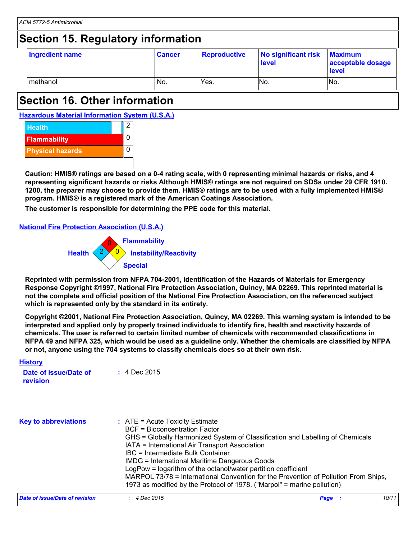### **Section 15. Regulatory information**

| Ingredient name | <b>Cancer</b> | Reproductive | No significant risk<br>level | <b>Maximum</b><br>acceptable dosage<br><b>level</b> |
|-----------------|---------------|--------------|------------------------------|-----------------------------------------------------|
| I methanol      | No.           | Yes.         | No.                          | No.                                                 |

### **Section 16. Other information**

**Hazardous Material Information System (U.S.A.)**



**Caution: HMIS® ratings are based on a 0-4 rating scale, with 0 representing minimal hazards or risks, and 4 representing significant hazards or risks Although HMIS® ratings are not required on SDSs under 29 CFR 1910. 1200, the preparer may choose to provide them. HMIS® ratings are to be used with a fully implemented HMIS® program. HMIS® is a registered mark of the American Coatings Association.**

**The customer is responsible for determining the PPE code for this material.**

#### **National Fire Protection Association (U.S.A.)**



**Reprinted with permission from NFPA 704-2001, Identification of the Hazards of Materials for Emergency Response Copyright ©1997, National Fire Protection Association, Quincy, MA 02269. This reprinted material is not the complete and official position of the National Fire Protection Association, on the referenced subject which is represented only by the standard in its entirety.**

**Copyright ©2001, National Fire Protection Association, Quincy, MA 02269. This warning system is intended to be interpreted and applied only by properly trained individuals to identify fire, health and reactivity hazards of chemicals. The user is referred to certain limited number of chemicals with recommended classifications in NFPA 49 and NFPA 325, which would be used as a guideline only. Whether the chemicals are classified by NFPA or not, anyone using the 704 systems to classify chemicals does so at their own risk.**

| <b>History</b>                    |                                                                                                                                                                                                                                                                                                                                                                                                                                                                                                                                                       |               |  |
|-----------------------------------|-------------------------------------------------------------------------------------------------------------------------------------------------------------------------------------------------------------------------------------------------------------------------------------------------------------------------------------------------------------------------------------------------------------------------------------------------------------------------------------------------------------------------------------------------------|---------------|--|
| Date of issue/Date of<br>revision | $: 4$ Dec 2015                                                                                                                                                                                                                                                                                                                                                                                                                                                                                                                                        |               |  |
| <b>Key to abbreviations</b>       | $\therefore$ ATE = Acute Toxicity Estimate<br><b>BCF</b> = Bioconcentration Factor<br>GHS = Globally Harmonized System of Classification and Labelling of Chemicals<br>IATA = International Air Transport Association<br>IBC = Intermediate Bulk Container<br><b>IMDG = International Maritime Dangerous Goods</b><br>LogPow = logarithm of the octanol/water partition coefficient<br>MARPOL 73/78 = International Convention for the Prevention of Pollution From Ships,<br>1973 as modified by the Protocol of 1978. ("Marpol" = marine pollution) |               |  |
| Date of issue/Date of revision    | $: 4$ Dec 2015                                                                                                                                                                                                                                                                                                                                                                                                                                                                                                                                        | 10/11<br>Page |  |